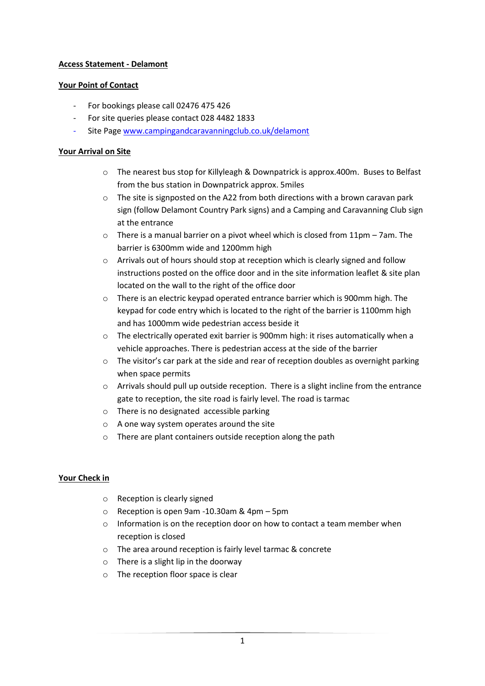# **Access Statement - Delamont**

### **Your Point of Contact**

- For bookings please call 02476 475 426
- For site queries please contact 028 4482 1833
- Site Page [www.campingandcaravanningclub.co.uk/delamont](http://www.campingandcaravanningclub.co.uk/delamont)

### **Your Arrival on Site**

- o The nearest bus stop for Killyleagh & Downpatrick is approx.400m. Buses to Belfast from the bus station in Downpatrick approx. 5miles
- $\circ$  The site is signposted on the A22 from both directions with a brown caravan park sign (follow Delamont Country Park signs) and a Camping and Caravanning Club sign at the entrance
- o There is a manual barrier on a pivot wheel which is closed from 11pm 7am. The barrier is 6300mm wide and 1200mm high
- o Arrivals out of hours should stop at reception which is clearly signed and follow instructions posted on the office door and in the site information leaflet & site plan located on the wall to the right of the office door
- o There is an electric keypad operated entrance barrier which is 900mm high. The keypad for code entry which is located to the right of the barrier is 1100mm high and has 1000mm wide pedestrian access beside it
- $\circ$  The electrically operated exit barrier is 900mm high: it rises automatically when a vehicle approaches. There is pedestrian access at the side of the barrier
- $\circ$  The visitor's car park at the side and rear of reception doubles as overnight parking when space permits
- o Arrivals should pull up outside reception. There is a slight incline from the entrance gate to reception, the site road is fairly level. The road is tarmac
- o There is no designated accessible parking
- o A one way system operates around the site
- o There are plant containers outside reception along the path

#### **Your Check in**

- o Reception is clearly signed
- o Reception is open 9am -10.30am & 4pm 5pm
- $\circ$  Information is on the reception door on how to contact a team member when reception is closed
- o The area around reception is fairly level tarmac & concrete
- o There is a slight lip in the doorway
- o The reception floor space is clear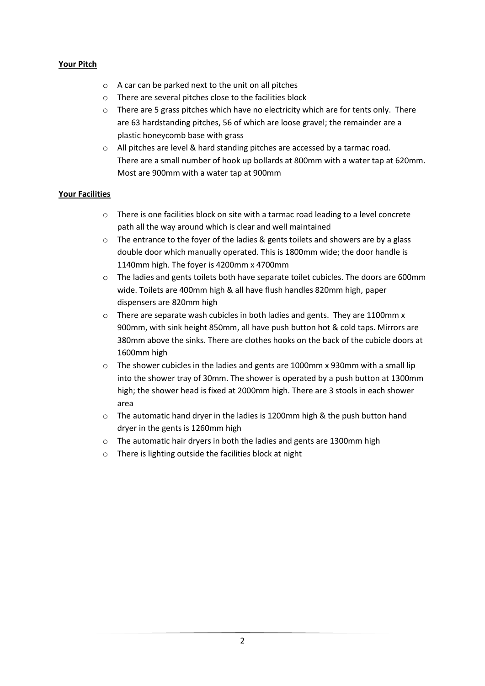# **Your Pitch**

- o A car can be parked next to the unit on all pitches
- o There are several pitches close to the facilities block
- $\circ$  There are 5 grass pitches which have no electricity which are for tents only. There are 63 hardstanding pitches, 56 of which are loose gravel; the remainder are a plastic honeycomb base with grass
- $\circ$  All pitches are level & hard standing pitches are accessed by a tarmac road. There are a small number of hook up bollards at 800mm with a water tap at 620mm. Most are 900mm with a water tap at 900mm

#### **Your Facilities**

- $\circ$  There is one facilities block on site with a tarmac road leading to a level concrete path all the way around which is clear and well maintained
- $\circ$  The entrance to the fover of the ladies & gents toilets and showers are by a glass double door which manually operated. This is 1800mm wide; the door handle is 1140mm high. The foyer is 4200mm x 4700mm
- o The ladies and gents toilets both have separate toilet cubicles. The doors are 600mm wide. Toilets are 400mm high & all have flush handles 820mm high, paper dispensers are 820mm high
- o There are separate wash cubicles in both ladies and gents. They are 1100mm x 900mm, with sink height 850mm, all have push button hot & cold taps. Mirrors are 380mm above the sinks. There are clothes hooks on the back of the cubicle doors at 1600mm high
- $\circ$  The shower cubicles in the ladies and gents are 1000mm x 930mm with a small lip into the shower tray of 30mm. The shower is operated by a push button at 1300mm high; the shower head is fixed at 2000mm high. There are 3 stools in each shower area
- o The automatic hand dryer in the ladies is 1200mm high & the push button hand dryer in the gents is 1260mm high
- o The automatic hair dryers in both the ladies and gents are 1300mm high
- o There is lighting outside the facilities block at night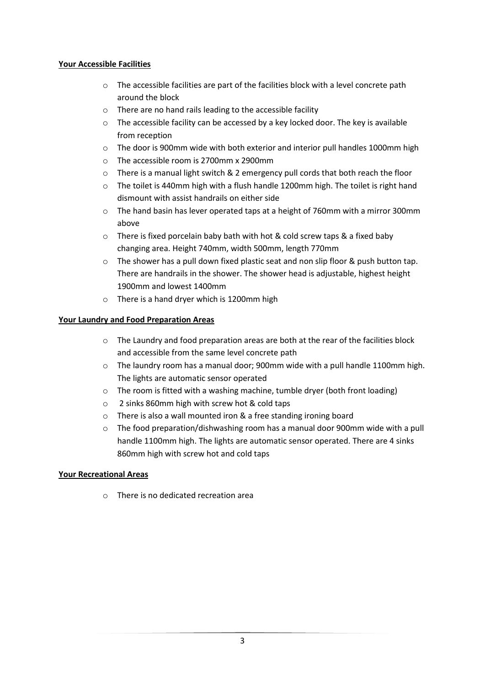# **Your Accessible Facilities**

- o The accessible facilities are part of the facilities block with a level concrete path around the block
- o There are no hand rails leading to the accessible facility
- $\circ$  The accessible facility can be accessed by a key locked door. The key is available from reception
- o The door is 900mm wide with both exterior and interior pull handles 1000mm high
- o The accessible room is 2700mm x 2900mm
- o There is a manual light switch & 2 emergency pull cords that both reach the floor
- o The toilet is 440mm high with a flush handle 1200mm high. The toilet is right hand dismount with assist handrails on either side
- $\circ$  The hand basin has lever operated taps at a height of 760mm with a mirror 300mm above
- o There is fixed porcelain baby bath with hot & cold screw taps & a fixed baby changing area. Height 740mm, width 500mm, length 770mm
- $\circ$  The shower has a pull down fixed plastic seat and non slip floor & push button tap. There are handrails in the shower. The shower head is adjustable, highest height 1900mm and lowest 1400mm
- o There is a hand dryer which is 1200mm high

# **Your Laundry and Food Preparation Areas**

- $\circ$  The Laundry and food preparation areas are both at the rear of the facilities block and accessible from the same level concrete path
- o The laundry room has a manual door; 900mm wide with a pull handle 1100mm high. The lights are automatic sensor operated
- o The room is fitted with a washing machine, tumble dryer (both front loading)
- o 2 sinks 860mm high with screw hot & cold taps
- o There is also a wall mounted iron & a free standing ironing board
- $\circ$  The food preparation/dishwashing room has a manual door 900mm wide with a pull handle 1100mm high. The lights are automatic sensor operated. There are 4 sinks 860mm high with screw hot and cold taps

#### **Your Recreational Areas**

o There is no dedicated recreation area